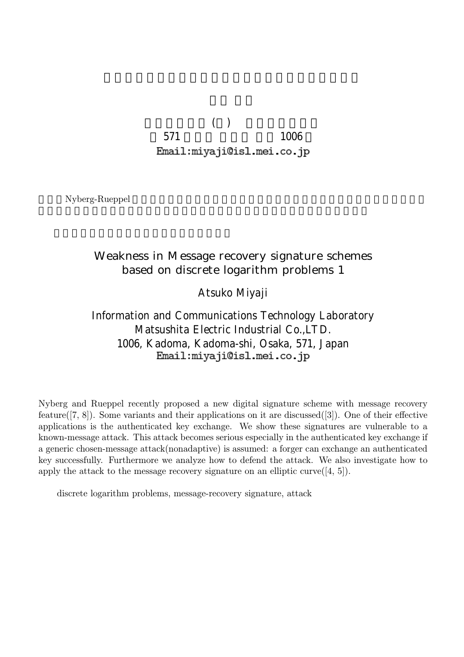$( )$ 571 1006 Email: miyaji@isl.mei.co.jp

Nyberg-Rueppel

## Weakness in Message recovery signature schemes based on discrete logarithm problems 1

Atsuko Miyaji

Information and Communications Technology Laboratory Matsushita Electric Industrial Co.,LTD. 1006, Kadoma, Kadoma-shi, Osaka, 571, Japan Email: miyaji@isl.mei.co.jp

Nyberg and Rueppel recently proposed a new digital signature scheme with message recovery feature([7, 8]). Some variants and their applications on it are discussed([3]). One of their effective applications is the authenticated key exchange. We show these signatures are vulnerable to a known-message attack. This attack becomes serious especially in the authenticated key exchange if a generic chosen-message attack(nonadaptive) is assumed: a forger can exchange an authenticated key successfully. Furthermore we analyze how to defend the attack. We also investigate how to apply the attack to the message recovery signature on an elliptic curve  $(4, 5]$ .

discrete logarithm problems, message-recovery signature, attack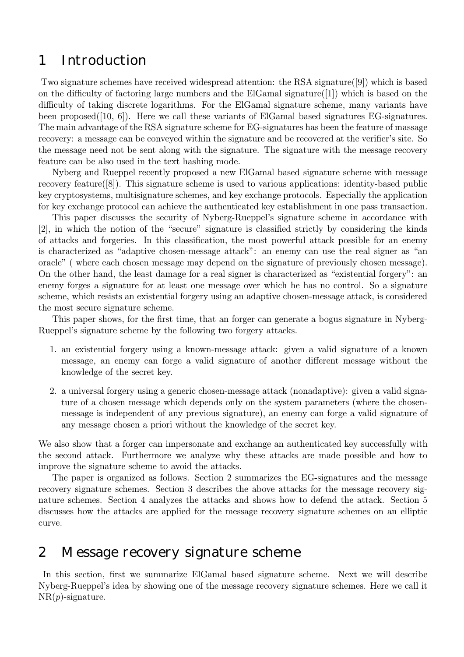# 1 Introduction

Two signature schemes have received widespread attention: the RSA signature([9]) which is based on the difficulty of factoring large numbers and the ElGamal signature([1]) which is based on the difficulty of taking discrete logarithms. For the ElGamal signature scheme, many variants have been proposed([10, 6]). Here we call these variants of ElGamal based signatures EG-signatures. The main advantage of the RSA signature scheme for EG-signatures has been the feature of massage recovery: a message can be conveyed within the signature and be recovered at the verifier's site. So the message need not be sent along with the signature. The signature with the message recovery feature can be also used in the text hashing mode.

Nyberg and Rueppel recently proposed a new ElGamal based signature scheme with message recovery feature([8]). This signature scheme is used to various applications: identity-based public key cryptosystems, multisignature schemes, and key exchange protocols. Especially the application for key exchange protocol can achieve the authenticated key establishment in one pass transaction.

This paper discusses the security of Nyberg-Rueppel's signature scheme in accordance with [2], in which the notion of the "secure" signature is classified strictly by considering the kinds of attacks and forgeries. In this classification, the most powerful attack possible for an enemy is characterized as "adaptive chosen-message attack": an enemy can use the real signer as "an oracle" ( where each chosen message may depend on the signature of previously chosen message). On the other hand, the least damage for a real signer is characterized as "existential forgery": an enemy forges a signature for at least one message over which he has no control. So a signature scheme, which resists an existential forgery using an adaptive chosen-message attack, is considered the most secure signature scheme.

This paper shows, for the first time, that an forger can generate a bogus signature in Nyberg-Rueppel's signature scheme by the following two forgery attacks.

- 1. an existential forgery using a known-message attack: given a valid signature of a known message, an enemy can forge a valid signature of another different message without the knowledge of the secret key.
- 2. a universal forgery using a generic chosen-message attack (nonadaptive): given a valid signature of a chosen message which depends only on the system parameters (where the chosenmessage is independent of any previous signature), an enemy can forge a valid signature of any message chosen a priori without the knowledge of the secret key.

We also show that a forger can impersonate and exchange an authenticated key successfully with the second attack. Furthermore we analyze why these attacks are made possible and how to improve the signature scheme to avoid the attacks.

The paper is organized as follows. Section 2 summarizes the EG-signatures and the message recovery signature schemes. Section 3 describes the above attacks for the message recovery signature schemes. Section 4 analyzes the attacks and shows how to defend the attack. Section 5 discusses how the attacks are applied for the message recovery signature schemes on an elliptic curve.

# 2 Message recovery signature scheme

In this section, first we summarize ElGamal based signature scheme. Next we will describe Nyberg-Rueppel's idea by showing one of the message recovery signature schemes. Here we call it  $NR(p)$ -signature.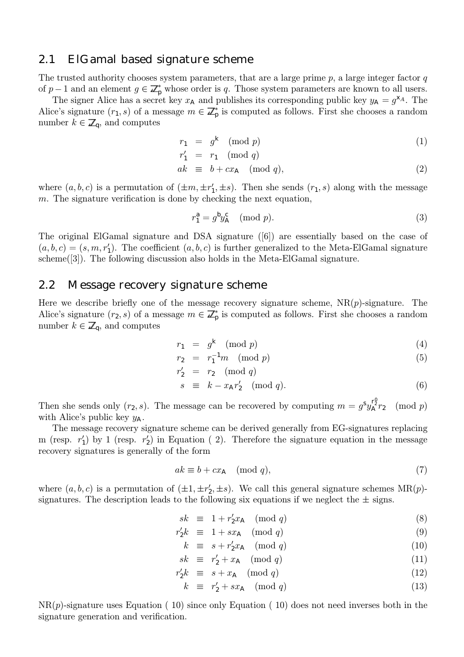### 2.1 ElGamal based signature scheme

The trusted authority chooses system parameters, that are a large prime  $p$ , a large integer factor  $q$ of  $p-1$  and an element  $g \in \mathbb{Z}_p^*$  whose order is q. Those system parameters are known to all users.

The signer Alice has a secret key  $x_A$  and publishes its corresponding public key  $y_A = g^{\chi_A}$ . The Alice's signature  $(r_1, s)$  of a message  $m \in \mathbb{Z}_p^*$  is computed as follows. First she chooses a random number  $k \in \mathbb{Z}_q$ , and computes

$$
r_1 = g^k \pmod{p} \tag{1}
$$

$$
r'_1 = r_1 \pmod{q}
$$

$$
ak \equiv b + cx_A \pmod{q},\tag{2}
$$

where  $(a, b, c)$  is a permutation of  $(\pm m, \pm r_1', \pm s)$ . Then she sends  $(r_1, s)$  along with the message  $m$ . The signature verification is done by checking the next equation,

$$
r_1^a = g^b y_A^c \pmod{p}.\tag{3}
$$

The original ElGamal signature and DSA signature ([6]) are essentially based on the case of  $(a, b, c) = (s, m, r_1')$ . The coefficient  $(a, b, c)$  is further generalized to the Meta-ElGamal signature scheme([3]). The following discussion also holds in the Meta-ElGamal signature.

### 2.2 Message recovery signature scheme

Here we describe briefly one of the message recovery signature scheme,  $NR(p)$ -signature. The Alice's signature  $(r_2, s)$  of a message  $m \in \mathbb{Z}_p^*$  is computed as follows. First she chooses a random number  $k \in \mathbb{Z}_q$ , and computes

$$
r_1 = g^k \pmod{p} \tag{4}
$$

$$
r_2 = r_1^{-1}m \pmod{p} \tag{5}
$$

$$
r'_2 = r_2 \pmod{q}
$$

$$
s \equiv k - x_A r'_2 \pmod{q}.
$$
 (6)

Then she sends only  $(r_2, s)$ . The message can be recovered by computing  $m = g<sup>s</sup>y_A<sup>r<sub>2</sub></sup>r_2 \pmod{p}$ with Alice's public key  $y_A$ .

The message recovery signature scheme can be derived generally from EG-signatures replacing m (resp.  $r_1'$ ) by 1 (resp.  $r_2'$ ) in Equation (2). Therefore the signature equation in the message recovery signatures is generally of the form

$$
ak \equiv b + cx_{\mathsf{A}} \pmod{q},\tag{7}
$$

where  $(a, b, c)$  is a permutation of  $(\pm 1, \pm r_2', \pm s)$ . We call this general signature schemes MR(p)signatures. The description leads to the following six equations if we neglect the  $\pm$  signs.

$$
sk \equiv 1 + r_2' x_A \pmod{q} \tag{8}
$$

$$
r_2'k \equiv 1 + sx_A \pmod{q} \tag{9}
$$

$$
k \equiv s + r'_2 x_A \pmod{q} \tag{10}
$$

$$
sk \equiv r'_2 + x_{\mathsf{A}} \pmod{q} \tag{11}
$$

$$
r_2'k \equiv s + x_A \pmod{q} \tag{12}
$$

$$
k \equiv r'_2 + sx_{\mathsf{A}} \pmod{q} \tag{13}
$$

 $NR(p)$ -signature uses Equation (10) since only Equation (10) does not need inverses both in the signature generation and verification.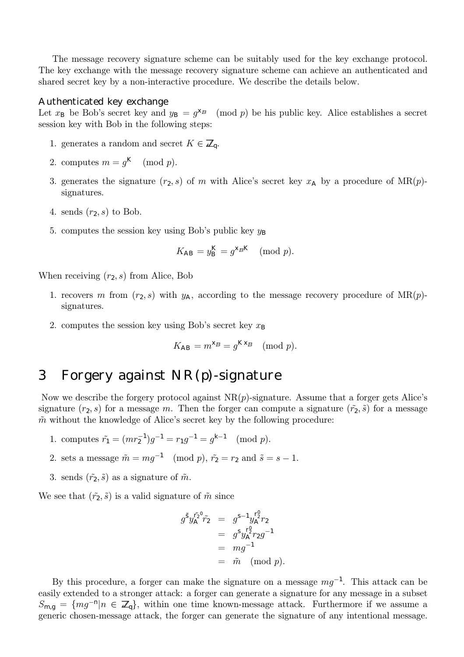The message recovery signature scheme can be suitably used for the key exchange protocol. The key exchange with the message recovery signature scheme can achieve an authenticated and shared secret key by a non-interactive procedure. We describe the details below.

#### Authenticated key exchange

Let  $x_B$  be Bob's secret key and  $y_B = g^{x_B} \pmod{p}$  be his public key. Alice establishes a secret session key with Bob in the following steps:

- 1. generates a random and secret  $K \in \mathbb{Z}_p$ .
- 2. computes  $m = q<sup>K</sup> \pmod{p}$ .
- 3. generates the signature  $(r_2, s)$  of m with Alice's secret key  $x_A$  by a procedure of MR(p)signatures.
- 4. sends  $(r_2, s)$  to Bob.
- 5. computes the session key using Bob's public key  $y_B$

$$
K_{\mathsf{AB}} = y_{\mathsf{B}}^{\mathsf{K}} = g^{\mathsf{X}_{\mathsf{B}} \mathsf{K}} \pmod{p}.
$$

When receiving  $(r_2, s)$  from Alice, Bob

- 1. recovers m from  $(r_2, s)$  with  $y_A$ , according to the message recovery procedure of MR(p)signatures.
- 2. computes the session key using Bob's secret key  $x_B$

$$
K_{\mathsf{AB}} = m^{\mathsf{X}_{\mathsf{B}}} = g^{\mathsf{K} \mathsf{X}_{\mathsf{B}}} \pmod{p}.
$$

# 3 Forgery against NR(p)-signature

Now we describe the forgery protocol against  $NR(p)$ -signature. Assume that a forger gets Alice's signature  $(r_2, s)$  for a message m. Then the forger can compute a signature  $(\tilde{r}_2, \tilde{s})$  for a message  $\tilde{m}$  without the knowledge of Alice's secret key by the following procedure:

- 1. computes  $\tilde{r}_1 = (mr_2^{-1})g^{-1} = r_1g^{-1} = g^{k-1} \pmod{p}$ .
- 2. sets a message  $\tilde{m} = mg^{-1} \pmod{p}$ ,  $\tilde{r}_2 = r_2$  and  $\tilde{s} = s 1$ .
- 3. sends  $(\tilde{r}_2, \tilde{s})$  as a signature of  $\tilde{m}$ .

We see that  $(\tilde{r}_2, \tilde{s})$  is a valid signature of  $\tilde{m}$  since

$$
g^{\tilde{S}}y_A^{\tilde{r}_2}\tilde{r}_2 = g^{S-1}y_A^{\tilde{r}_2}\tilde{r}_2
$$
  
=  $g^Sy_A^{\tilde{r}_2}\tilde{r}_2g^{-1}$   
=  $mg^{-1}$   
=  $\tilde{m} \pmod{p}$ .

By this procedure, a forger can make the signature on a message  $mg^{-1}$ . This attack can be easily extended to a stronger attack: a forger can generate a signature for any message in a subset  $S_{\text{m,q}} = \{mg^{-n} | n \in \mathbb{Z}_q\}$ , within one time known-message attack. Furthermore if we assume a generic chosen-message attack, the forger can generate the signature of any intentional message.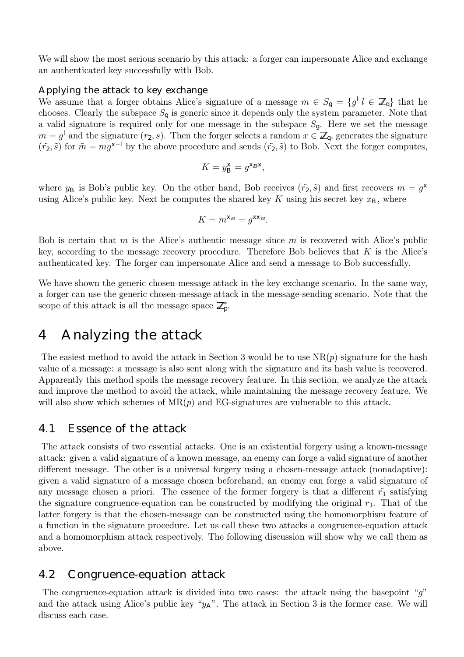We will show the most serious scenario by this attack: a forger can impersonate Alice and exchange an authenticated key successfully with Bob.

#### Applying the attack to key exchange

We assume that a forger obtains Alice's signature of a message  $m \in S_g = \{g^l | l \in \mathbb{Z}_q\}$  that he chooses. Clearly the subspace  $S_q$  is generic since it depends only the system parameter. Note that a valid signature is required only for one message in the subspace  $S_q$ . Here we set the message  $m = g<sup>1</sup>$  and the signature  $(r_2, s)$ . Then the forger selects a random  $x \in \mathbb{Z}_q$ , generates the signature  $(\tilde{r}_2, \tilde{s})$  for  $\tilde{m} = mg^{x-1}$  by the above procedure and sends  $(\tilde{r}_2, \tilde{s})$  to Bob. Next the forger computes,

$$
K = y_{\rm B}^{\rm X} = g^{\rm X_B X},
$$

where  $y_B$  is Bob's public key. On the other hand, Bob receives  $(\tilde{r}_2, \tilde{s})$  and first recovers  $m = g^x$ using Alice's public key. Next he computes the shared key K using his secret key  $x_{\text{B}}$ , where

$$
K = m^{\mathsf{X}_B} = g^{\mathsf{X} \mathsf{X}_B}.
$$

Bob is certain that m is the Alice's authentic message since m is recovered with Alice's public key, according to the message recovery procedure. Therefore Bob believes that  $K$  is the Alice's authenticated key. The forger can impersonate Alice and send a message to Bob successfully.

We have shown the generic chosen-message attack in the key exchange scenario. In the same way, a forger can use the generic chosen-message attack in the message-sending scenario. Note that the scope of this attack is all the message space  $\mathbb{Z}_p^*$ .

## 4 Analyzing the attack

The easiest method to avoid the attack in Section 3 would be to use  $NR(p)$ -signature for the hash value of a message: a message is also sent along with the signature and its hash value is recovered. Apparently this method spoils the message recovery feature. In this section, we analyze the attack and improve the method to avoid the attack, while maintaining the message recovery feature. We will also show which schemes of  $MR(p)$  and EG-signatures are vulnerable to this attack.

### 4.1 Essence of the attack

The attack consists of two essential attacks. One is an existential forgery using a known-message attack: given a valid signature of a known message, an enemy can forge a valid signature of another different message. The other is a universal forgery using a chosen-message attack (nonadaptive): given a valid signature of a message chosen beforehand, an enemy can forge a valid signature of any message chosen a priori. The essence of the former forgery is that a different  $\tilde{r}_1$  satisfying the signature congruence-equation can be constructed by modifying the original  $r_1$ . That of the latter forgery is that the chosen-message can be constructed using the homomorphism feature of a function in the signature procedure. Let us call these two attacks a congruence-equation attack and a homomorphism attack respectively. The following discussion will show why we call them as above.

### 4.2 Congruence-equation attack

The congruence-equation attack is divided into two cases: the attack using the basepoint "g" and the attack using Alice's public key " $y_A$ ". The attack in Section 3 is the former case. We will discuss each case.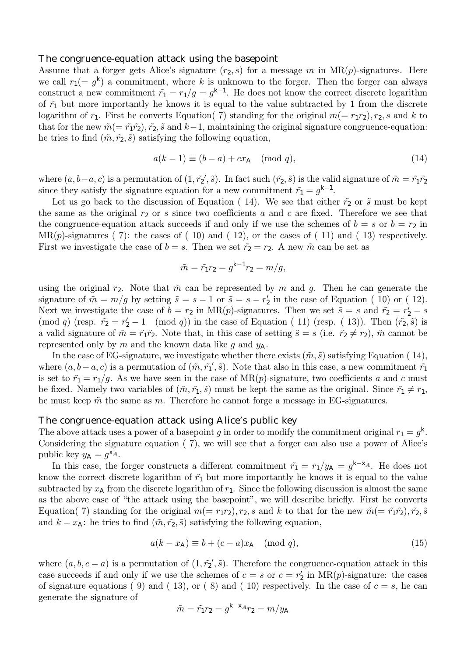#### The congruence-equation attack using the basepoint

Assume that a forger gets Alice's signature  $(r_2, s)$  for a message m in  $MR(p)$ -signatures. Here we call  $r_1(= g^k)$  a commitment, where k is unknown to the forger. Then the forger can always construct a new commitment  $\tilde{r}_1 = r_1/g = g^{k-1}$ . He does not know the correct discrete logarithm of  $\tilde{r}_1$  but more importantly he knows it is equal to the value subtracted by 1 from the discrete logarithm of  $r_1$ . First he converts Equation( 7) standing for the original  $m(= r_1 r_2), r_2, s$  and k to that for the new  $\tilde{m} (= \tilde{r}_1 \tilde{r}_2), \tilde{r}_2, \tilde{s}$  and  $k-1$ , maintaining the original signature congruence-equation: he tries to find  $(\tilde{m}, \tilde{r_2}, \tilde{s})$  satisfying the following equation,

$$
a(k-1) \equiv (b-a) + cxA \pmod{q},\tag{14}
$$

where  $(a, b-a, c)$  is a permutation of  $(1, \tilde{r_2}', \tilde{s})$ . In fact such  $(\tilde{r_2}, \tilde{s})$  is the valid signature of  $\tilde{m} = \tilde{r_1}\tilde{r_2}$ since they satisfy the signature equation for a new commitment  $\tilde{r_1} = g^{k-1}$ .

Let us go back to the discussion of Equation (14). We see that either  $\tilde{r}_2$  or  $\tilde{s}$  must be kept the same as the original  $r_2$  or s since two coefficients a and c are fixed. Therefore we see that the congruence-equation attack succeeds if and only if we use the schemes of  $b = s$  or  $b = r<sub>2</sub>$  in  $MR(p)$ -signatures (7): the cases of (10) and (12), or the cases of (11) and (13) respectively. First we investigate the case of  $b = s$ . Then we set  $\tilde{r}_2 = r_2$ . A new  $\tilde{m}$  can be set as

$$
\tilde{m} = \tilde{r}_1 r_2 = g^{k-1} r_2 = m/g,
$$

using the original  $r_2$ . Note that  $\tilde{m}$  can be represented by m and g. Then he can generate the signature of  $\tilde{m} = m/g$  by setting  $\tilde{s} = s - 1$  or  $\tilde{s} = s - r'_2$  in the case of Equation (10) or (12). Next we investigate the case of  $b = r_2$  in MR(p)-signatures. Then we set  $\tilde{s} = s$  and  $\tilde{r}_2 = r_2' - s$ (mod q) (resp.  $\tilde{r}_2 = r_2' - 1 \pmod{q}$  in the case of Equation (11) (resp. (13)). Then  $(\tilde{r}_2, \tilde{s})$  is a valid signature of  $\tilde{m} = \tilde{r}_1 \tilde{r}_2$ . Note that, in this case of setting  $\tilde{s} = s$  (i.e.  $\tilde{r}_2 \neq r_2$ ),  $\tilde{m}$  cannot be represented only by m and the known data like g and  $y_A$ .

In the case of EG-signature, we investigate whether there exists  $(\tilde{m}, \tilde{s})$  satisfying Equation (14), where  $(a, b - a, c)$  is a permutation of  $(\tilde{m}, \tilde{r_1}', \tilde{s})$ . Note that also in this case, a new commitment  $\tilde{r_1}$ is set to  $\tilde{r}_1 = r_1/g$ . As we have seen in the case of MR(p)-signature, two coefficients a and c must be fixed. Namely two variables of  $(\tilde{m}, \tilde{r}_1, \tilde{s})$  must be kept the same as the original. Since  $\tilde{r}_1 \neq r_1$ , he must keep  $\tilde{m}$  the same as m. Therefore he cannot forge a message in EG-signatures.

#### The congruence-equation attack using Alice's public key

The above attack uses a power of a basepoint g in order to modify the commitment original  $r_1 = g^k$ . Considering the signature equation ( 7), we will see that a forger can also use a power of Alice's public key  $y_A = g^{\mathsf{X}_A}$ .

In this case, the forger constructs a different commitment  $\tilde{r}_1 = r_1/y_A = g^{k-X_A}$ . He does not know the correct discrete logarithm of  $\tilde{r}_1$  but more importantly he knows it is equal to the value subtracted by  $x_A$  from the discrete logarithm of  $r_1$ . Since the following discussion is almost the same as the above case of "the attack using the basepoint", we will describe briefly. First he converts Equation( 7) standing for the original  $m(= r_1r_2)$ ,  $r_2$ , s and k to that for the new  $\tilde{m}(= \tilde{r}_1\tilde{r}_2)$ ,  $\tilde{r}_2$ ,  $\tilde{s}$ and  $k - x_A$ : he tries to find  $(\tilde{m}, \tilde{r}_2, \tilde{s})$  satisfying the following equation,

$$
a(k - x_{\mathsf{A}}) \equiv b + (c - a)x_{\mathsf{A}} \pmod{q},\tag{15}
$$

where  $(a, b, c - a)$  is a permutation of  $(1, \tilde{r_2}', \tilde{s})$ . Therefore the congruence-equation attack in this case succeeds if and only if we use the schemes of  $c = s$  or  $c = r'_2$  in  $MR(p)$ -signature: the cases of signature equations (9) and (13), or (8) and (10) respectively. In the case of  $c = s$ , he can generate the signature of

$$
\tilde{m} = \tilde{r}_1 r_2 = g^{k - x} r_2 = m / y_A
$$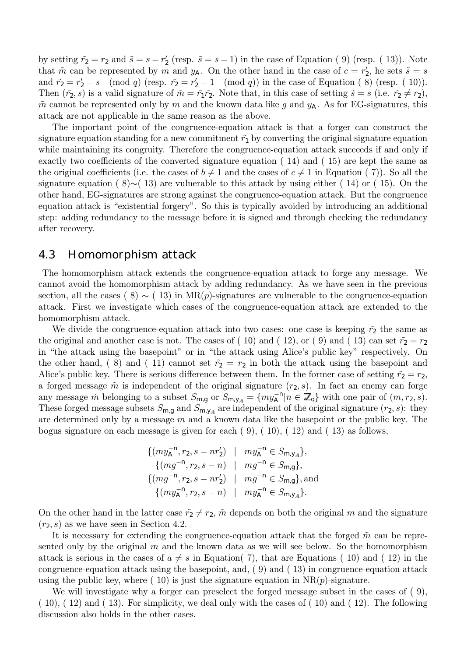by setting  $\tilde{r}_2 = r_2$  and  $\tilde{s} = s - r'_2$  (resp.  $\tilde{s} = s - 1$ ) in the case of Equation (9) (resp. (13)). Note that  $\tilde{m}$  can be represented by m and  $y_A$ . On the other hand in the case of  $c = r'_2$ , he sets  $\tilde{s} = s$ and  $\tilde{r}_2 = r_2' - s \pmod{q}$  (resp.  $\tilde{r}_2 = r_2' - 1 \pmod{q}$ ) in the case of Equation (8) (resp. (10)). Then  $(\tilde{r}_2, s)$  is a valid signature of  $\tilde{m} = \tilde{r}_1 \tilde{r}_2$ . Note that, in this case of setting  $\tilde{s} = s$  (i.e.  $\tilde{r}_2 \neq r_2$ ),  $\tilde{m}$  cannot be represented only by m and the known data like g and  $y_A$ . As for EG-signatures, this attack are not applicable in the same reason as the above.

The important point of the congruence-equation attack is that a forger can construct the signature equation standing for a new commitment  $\tilde{r}_1$  by converting the original signature equation while maintaining its congruity. Therefore the congruence-equation attack succeeds if and only if exactly two coefficients of the converted signature equation ( 14) and ( 15) are kept the same as the original coefficients (i.e. the cases of  $b \neq 1$  and the cases of  $c \neq 1$  in Equation (7)). So all the signature equation ( 8)∼( 13) are vulnerable to this attack by using either ( 14) or ( 15). On the other hand, EG-signatures are strong against the congruence-equation attack. But the congruence equation attack is "existential forgery". So this is typically avoided by introducing an additional step: adding redundancy to the message before it is signed and through checking the redundancy after recovery.

### 4.3 Homomorphism attack

The homomorphism attack extends the congruence-equation attack to forge any message. We cannot avoid the homomorphism attack by adding redundancy. As we have seen in the previous section, all the cases (8)  $\sim$  (13) in MR(p)-signatures are vulnerable to the congruence-equation attack. First we investigate which cases of the congruence-equation attack are extended to the homomorphism attack.

We divide the congruence-equation attack into two cases: one case is keeping  $\tilde{r}_2$  the same as the original and another case is not. The cases of (10) and (12), or (9) and (13) can set  $\tilde{r}_2 = r_2$ in "the attack using the basepoint" or in "the attack using Alice's public key" respectively. On the other hand, (8) and (11) cannot set  $\tilde{r}_2 = r_2$  in both the attack using the basepoint and Alice's public key. There is serious difference between them. In the former case of setting  $\tilde{r}_2 = r_2$ , a forged message  $\tilde{m}$  is independent of the original signature  $(r_2, s)$ . In fact an enemy can forge any message  $\tilde{m}$  belonging to a subset  $S_{m,g}$  or  $S_{m,y_A} = \{my_A^{-n} | n \in \mathbb{Z}_q\}$  with one pair of  $(m, r_2, s)$ . These forged message subsets  $S_{m,g}$  and  $S_{m,y_A}$  are independent of the original signature  $(r_2, s)$ : they are determined only by a message  $m$  and a known data like the basepoint or the public key. The bogus signature on each message is given for each  $(9)$ ,  $(10)$ ,  $(12)$  and  $(13)$  as follows,

$$
\{ (my_A^{-n}, r_2, s - nr'_2) \mid my_A^{-n} \in S_{m,y_A} \},
$$
  
\n
$$
\{ (mg^{-n}, r_2, s - n) \mid mg^{-n} \in S_{m,g} \},
$$
  
\n
$$
\{ (mg^{-n}, r_2, s - nr'_2) \mid mg^{-n} \in S_{m,g} \},
$$
 and  
\n
$$
\{ (my_A^{-n}, r_2, s - n) \mid my_A^{-n} \in S_{m,y_A} \}.
$$

On the other hand in the latter case  $\tilde{r}_2 \neq r_2$ ,  $\tilde{m}$  depends on both the original m and the signature  $(r<sub>2</sub>, s)$  as we have seen in Section 4.2.

It is necessary for extending the congruence-equation attack that the forged  $\tilde{m}$  can be represented only by the original  $m$  and the known data as we will see below. So the homomorphism attack is serious in the cases of  $a \neq s$  in Equation( 7), that are Equations ( 10) and ( 12) in the congruence-equation attack using the basepoint, and,  $( 9)$  and  $( 13)$  in congruence-equation attack using the public key, where  $(10)$  is just the signature equation in  $NR(p)$ -signature.

We will investigate why a forger can preselect the forged message subset in the cases of  $(9)$ , ( 10), ( 12) and ( 13). For simplicity, we deal only with the cases of ( 10) and ( 12). The following discussion also holds in the other cases.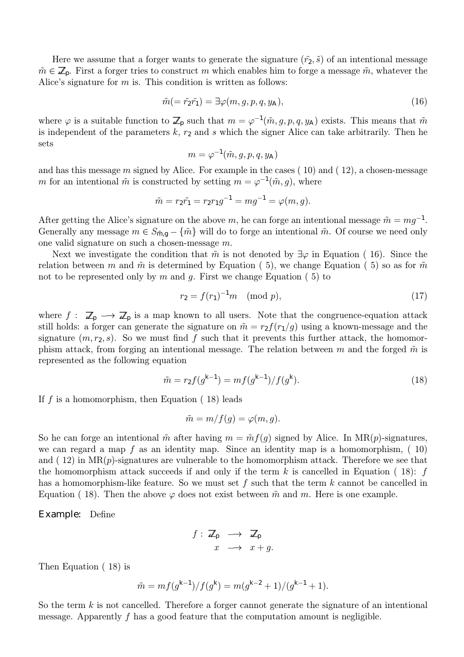Here we assume that a forger wants to generate the signature  $(\tilde{r}_2, \tilde{s})$  of an intentional message  $\tilde{m} \in \mathbb{Z}_p$ . First a forger tries to construct m which enables him to forge a message  $\tilde{m}$ , whatever the Alice's signature for  $m$  is. This condition is written as follows:

$$
\tilde{m}(=\tilde{r}_2\tilde{r}_1)=\exists\varphi(m,g,p,q,y_A),\tag{16}
$$

where  $\varphi$  is a suitable function to  $\mathbb{Z}_p$  such that  $m = \varphi^{-1}(\tilde{m}, g, p, q, y_\mathsf{A})$  exists. This means that  $\tilde{m}$ is independent of the parameters  $k, r_2$  and s which the signer Alice can take arbitrarily. Then he sets

$$
m=\varphi^{-1}(\tilde{m},g,p,q,y_{\mathsf{A}})
$$

and has this message m signed by Alice. For example in the cases  $(10)$  and  $(12)$ , a chosen-message m for an intentional  $\tilde{m}$  is constructed by setting  $m = \varphi^{-1}(\tilde{m}, g)$ , where

$$
\tilde{m} = r_2 \tilde{r_1} = r_2 r_1 g^{-1} = m g^{-1} = \varphi(m, g).
$$

After getting the Alice's signature on the above m, he can forge an intentional message  $\tilde{m} = mg^{-1}$ . Generally any message  $m \in S_{\tilde{m},g} - {\tilde{m}}$  will do to forge an intentional  $\tilde{m}$ . Of course we need only one valid signature on such a chosen-message m.

Next we investigate the condition that  $\tilde{m}$  is not denoted by  $\exists \varphi$  in Equation (16). Since the relation between m and  $\tilde{m}$  is determined by Equation (5), we change Equation (5) so as for  $\tilde{m}$ not to be represented only by  $m$  and  $g$ . First we change Equation (5) to

$$
r_2 = f(r_1)^{-1}m \pmod{p},\tag{17}
$$

where  $f: \mathbb{Z}_p \longrightarrow \mathbb{Z}_p$  is a map known to all users. Note that the congruence-equation attack still holds: a forger can generate the signature on  $\tilde{m} = r_2 f(r_1/g)$  using a known-message and the signature  $(m, r_2, s)$ . So we must find f such that it prevents this further attack, the homomorphism attack, from forging an intentional message. The relation between m and the forged  $\tilde{m}$  is represented as the following equation

$$
\tilde{m} = r_2 f(g^{k-1}) = m f(g^{k-1}) / f(g^k). \tag{18}
$$

If f is a homomorphism, then Equation  $(18)$  leads

$$
\tilde{m} = m/f(g) = \varphi(m, g).
$$

So he can forge an intentional  $\tilde{m}$  after having  $m = \tilde{m} f(g)$  signed by Alice. In MR(p)-signatures, we can regard a map f as an identity map. Since an identity map is a homomorphism,  $(10)$ and  $(12)$  in  $MR(p)$ -signatures are vulnerable to the homomorphism attack. Therefore we see that the homomorphism attack succeeds if and only if the term k is cancelled in Equation (18):  $f$ has a homomorphism-like feature. So we must set f such that the term  $k$  cannot be cancelled in Equation ( 18). Then the above  $\varphi$  does not exist between  $\tilde{m}$  and m. Here is one example.

Example: Define

$$
f: \mathbb{Z}_p \longrightarrow \mathbb{Z}_p
$$

$$
x \longrightarrow x + g.
$$

Then Equation ( 18) is

$$
\tilde{m} = mf(g^{k-1})/f(g^k) = m(g^{k-2} + 1)/(g^{k-1} + 1).
$$

So the term  $k$  is not cancelled. Therefore a forger cannot generate the signature of an intentional message. Apparently  $f$  has a good feature that the computation amount is negligible.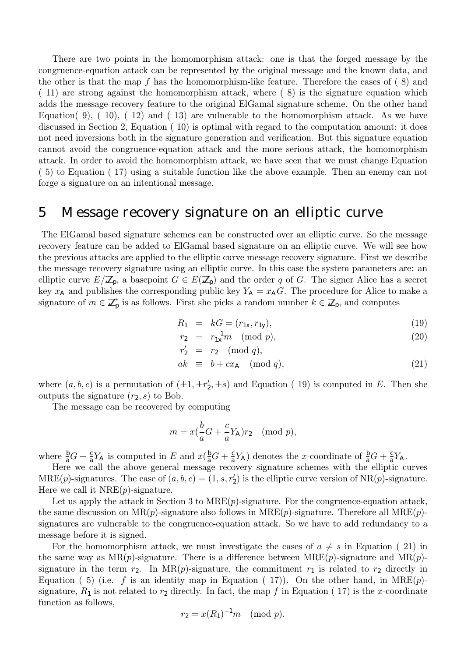There are two points in the homomorphism attack: one is that the forged message by the congruence-equation attack can be represented by the original message and the known data, and the other is that the map f has the homomorphism-like feature. Therefore the cases of  $(8)$  and ( 11) are strong against the homomorphism attack, where ( 8) is the signature equation which adds the message recovery feature to the original ElGamal signature scheme. On the other hand Equation( 9), ( 10), ( 12) and ( 13) are vulnerable to the homomorphism attack. As we have discussed in Section 2, Equation ( 10) is optimal with regard to the computation amount: it does not need inversions both in the signature generation and verification. But this signature equation cannot avoid the congruence-equation attack and the more serious attack, the homomorphism attack. In order to avoid the homomorphism attack, we have seen that we must change Equation ( 5) to Equation ( 17) using a suitable function like the above example. Then an enemy can not forge a signature on an intentional message.

## 5 Message recovery signature on an elliptic curve

The ElGamal based signature schemes can be constructed over an elliptic curve. So the message recovery feature can be added to ElGamal based signature on an elliptic curve. We will see how the previous attacks are applied to the elliptic curve message recovery signature. First we describe the message recovery signature using an elliptic curve. In this case the system parameters are: an elliptic curve  $E/\mathbb{Z}_p$ , a basepoint  $G \in E(\mathbb{Z}_p)$  and the order q of G. The signer Alice has a secret key  $x_A$  and publishes the corresponding public key  $Y_A = x_A G$ . The procedure for Alice to make a signature of  $m \in \mathbb{Z}_p^*$  is as follows. First she picks a random number  $k \in \mathbb{Z}_p$ , and computes

$$
R_1 = kG = (r_{1x}, r_{1y}), \t\t(19)
$$

$$
r_2 = r_{1x}^{-1}m \pmod{p}, \qquad (20)
$$

$$
r'_2 = r_2 \pmod{q},
$$
  
ak  $\equiv b + cx_A \pmod{q},$  (21)

where  $(a, b, c)$  is a permutation of  $(\pm 1, \pm r_2', \pm s)$  and Equation (19) is computed in E. Then she outputs the signature  $(r_2, s)$  to Bob.

The message can be recovered by computing

$$
m = x(\frac{b}{a}G + \frac{c}{a}Y_A)r_2 \pmod{p},
$$

where  $\frac{b}{a}G + \frac{c}{a}Y_A$  is computed in E and  $x(\frac{b}{a}G + \frac{c}{a}Y_A)$  denotes the x-coordinate of  $\frac{b}{a}G + \frac{c}{a}Y_A$ .

Here we call the above general message recovery signature schemes with the elliptic curves  $MRE(p)$ -signatures. The case of  $(a, b, c) = (1, s, r'_2)$  is the elliptic curve version of  $NR(p)$ -signature. Here we call it  $NRE(p)$ -signature.

Let us apply the attack in Section 3 to  $MRE(p)$ -signature. For the congruence-equation attack, the same discussion on  $MR(p)$ -signature also follows in  $MRE(p)$ -signature. Therefore all  $MRE(p)$ signatures are vulnerable to the congruence-equation attack. So we have to add redundancy to a message before it is signed.

For the homomorphism attack, we must investigate the cases of  $a \neq s$  in Equation (21) in the same way as  $MR(p)$ -signature. There is a difference between  $MRE(p)$ -signature and  $MR(p)$ signature in the term  $r_2$ . In MR(p)-signature, the commitment  $r_1$  is related to  $r_2$  directly in Equation (5) (i.e. f is an identity map in Equation (17)). On the other hand, in  $MRE(p)$ signature,  $R_1$  is not related to  $r_2$  directly. In fact, the map f in Equation (17) is the x-coordinate function as follows,

$$
r_2 = x(R_1)^{-1}m \pmod{p}.
$$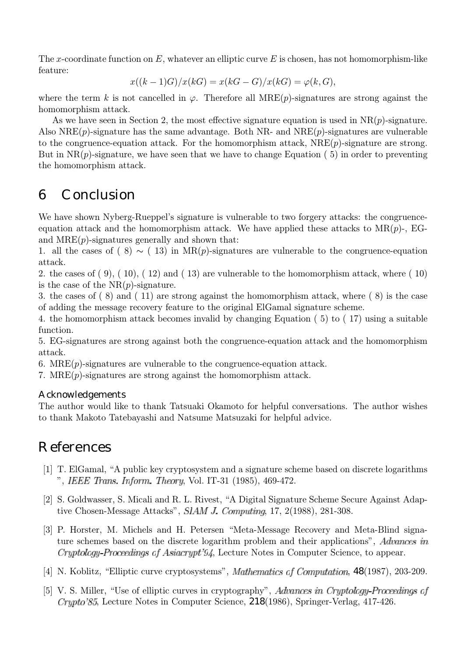The x-coordinate function on  $E$ , whatever an elliptic curve  $E$  is chosen, has not homomorphism-like feature:

$$
x((k-1)G)/x(kG) = x(kG - G)/x(kG) = \varphi(k, G),
$$

where the term k is not cancelled in  $\varphi$ . Therefore all MRE(p)-signatures are strong against the homomorphism attack.

As we have seen in Section 2, the most effective signature equation is used in  $NR(p)$ -signature. Also  $NRE(p)$ -signature has the same advantage. Both NR- and  $NRE(p)$ -signatures are vulnerable to the congruence-equation attack. For the homomorphism attack,  $NRE(p)$ -signature are strong. But in  $NR(p)$ -signature, we have seen that we have to change Equation (5) in order to preventing the homomorphism attack.

## 6 Conclusion

We have shown Nyberg-Rueppel's signature is vulnerable to two forgery attacks: the congruenceequation attack and the homomorphism attack. We have applied these attacks to  $MR(p)$ -, EGand  $MRE(p)$ -signatures generally and shown that:

1. all the cases of (8)  $\sim$  (13) in MR(p)-signatures are vulnerable to the congruence-equation attack.

2. the cases of  $(9)$ ,  $(10)$ ,  $(12)$  and  $(13)$  are vulnerable to the homomorphism attack, where  $(10)$ is the case of the  $NR(p)$ -signature.

3. the cases of ( 8) and ( 11) are strong against the homomorphism attack, where ( 8) is the case of adding the message recovery feature to the original ElGamal signature scheme.

4. the homomorphism attack becomes invalid by changing Equation ( 5) to ( 17) using a suitable function.

5. EG-signatures are strong against both the congruence-equation attack and the homomorphism attack.

6. MRE $(p)$ -signatures are vulnerable to the congruence-equation attack.

7. MRE $(p)$ -signatures are strong against the homomorphism attack.

#### Acknowledgements

The author would like to thank Tatsuaki Okamoto for helpful conversations. The author wishes to thank Makoto Tatebayashi and Natsume Matsuzaki for helpful advice.

## References

- [1] T. ElGamal, "A public key cryptosystem and a signature scheme based on discrete logarithms ", IEEE Trans. Inform. Theory, Vol. IT-31 (1985), 469-472.
- [2] S. Goldwasser, S. Micali and R. L. Rivest, "A Digital Signature Scheme Secure Against Adaptive Chosen-Message Attacks",  $SIAMJ$ . Computing, 17, 2(1988), 281-308.
- [3] P. Horster, M. Michels and H. Petersen "Meta-Message Recovery and Meta-Blind signature schemes based on the discrete logarithm problem and their applications", Advances in Cryptology Proceedings of Asiacrypt'94, Lecture Notes in Computer Science, to appear.
- [4] N. Koblitz, "Elliptic curve cryptosystems", *Mathematics of Computation*, 48(1987), 203-209.
- [5] V. S. Miller, "Use of elliptic curves in cryptography", Advances in Cryptology-Proceedings of , Lecture Notes in Computer Science, 218(1986), Springer-Verlag, 417-426.